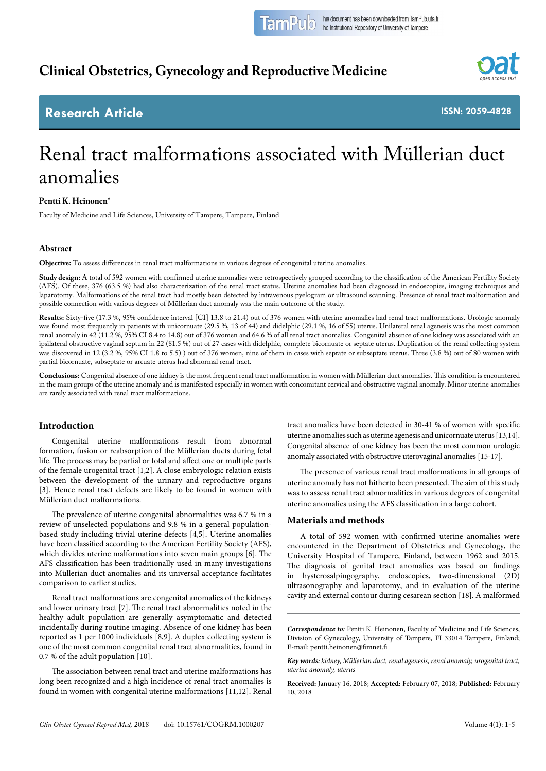## **Clinical Obstetrics, Gynecology and Reproductive Medicine**



### **Research Article**

**ISSN: 2059-4828**

# Renal tract malformations associated with Müllerian duct anomalies

#### **Pentti K. Heinonen\***

Faculty of Medicine and Life Sciences, University of Tampere, Tampere, Finland

#### **Abstract**

**Objective:** To assess differences in renal tract malformations in various degrees of congenital uterine anomalies.

Study design: A total of 592 women with confirmed uterine anomalies were retrospectively grouped according to the classification of the American Fertility Society (AFS). Of these, 376 (63.5 %) had also characterization of the renal tract status. Uterine anomalies had been diagnosed in endoscopies, imaging techniques and laparotomy. Malformations of the renal tract had mostly been detected by intravenous pyelogram or ultrasound scanning. Presence of renal tract malformation and possible connection with various degrees of Müllerian duct anomaly was the main outcome of the study.

**Results:** Sixty-five (17.3 %, 95% confidence interval [CI] 13.8 to 21.4) out of 376 women with uterine anomalies had renal tract malformations. Urologic anomaly was found most frequently in patients with unicornuate (29.5 %, 13 of 44) and didelphic (29.1 %, 16 of 55) uterus. Unilateral renal agenesis was the most common renal anomaly in 42 (11.2 %, 95% CI 8.4 to 14.8) out of 376 women and 64.6 % of all renal tract anomalies. Congenital absence of one kidney was associated with an ipsilateral obstructive vaginal septum in 22 (81.5 %) out of 27 cases with didelphic, complete bicornuate or septate uterus. Duplication of the renal collecting system was discovered in 12 (3.2 %, 95% CI 1.8 to 5.5) ) out of 376 women, nine of them in cases with septate or subseptate uterus. Three (3.8 %) out of 80 women with partial bicornuate, subseptate or arcuate uterus had abnormal renal tract.

**Conclusions:** Congenital absence of one kidney is the most frequent renal tract malformation in women with Müllerian duct anomalies. This condition is encountered in the main groups of the uterine anomaly and is manifested especially in women with concomitant cervical and obstructive vaginal anomaly. Minor uterine anomalies are rarely associated with renal tract malformations.

#### **Introduction**

Congenital uterine malformations result from abnormal formation, fusion or reabsorption of the Müllerian ducts during fetal life. The process may be partial or total and affect one or multiple parts of the female urogenital tract [1,2]. A close embryologic relation exists between the development of the urinary and reproductive organs [3]. Hence renal tract defects are likely to be found in women with Müllerian duct malformations.

The prevalence of uterine congenital abnormalities was 6.7 % in a review of unselected populations and 9.8 % in a general populationbased study including trivial uterine defects [4,5]. Uterine anomalies have been classified according to the American Fertility Society (AFS), which divides uterine malformations into seven main groups [6]. The AFS classification has been traditionally used in many investigations into Müllerian duct anomalies and its universal acceptance facilitates comparison to earlier studies.

Renal tract malformations are congenital anomalies of the kidneys and lower urinary tract [7]. The renal tract abnormalities noted in the healthy adult population are generally asymptomatic and detected incidentally during routine imaging. Absence of one kidney has been reported as 1 per 1000 individuals [8,9]. A duplex collecting system is one of the most common congenital renal tract abnormalities, found in 0.7 % of the adult population [10].

The association between renal tract and uterine malformations has long been recognized and a high incidence of renal tract anomalies is found in women with congenital uterine malformations [11,12]. Renal tract anomalies have been detected in 30-41 % of women with specific uterine anomalies such as uterine agenesis and unicornuate uterus [13,14]. Congenital absence of one kidney has been the most common urologic anomaly associated with obstructive uterovaginal anomalies [15-17].

The presence of various renal tract malformations in all groups of uterine anomaly has not hitherto been presented. The aim of this study was to assess renal tract abnormalities in various degrees of congenital uterine anomalies using the AFS classification in a large cohort.

#### **Materials and methods**

A total of 592 women with confirmed uterine anomalies were encountered in the Department of Obstetrics and Gynecology, the University Hospital of Tampere, Finland, between 1962 and 2015. The diagnosis of genital tract anomalies was based on findings in hysterosalpingography, endoscopies, two-dimensional (2D) ultrasonography and laparotomy, and in evaluation of the uterine cavity and external contour during cesarean section [18]. A malformed

**Received:** January 16, 2018; **Accepted:** February 07, 2018; **Published:** February 10, 2018

*Correspondence to:* Pentti K. Heinonen, Faculty of Medicine and Life Sciences, Division of Gynecology, University of Tampere, FI 33014 Tampere, Finland; E-mail: pentti.heinonen@fimnet.fi

*Key words: kidney, Müllerian duct, renal agenesis, renal anomaly, urogenital tract, uterine anomaly, uterus*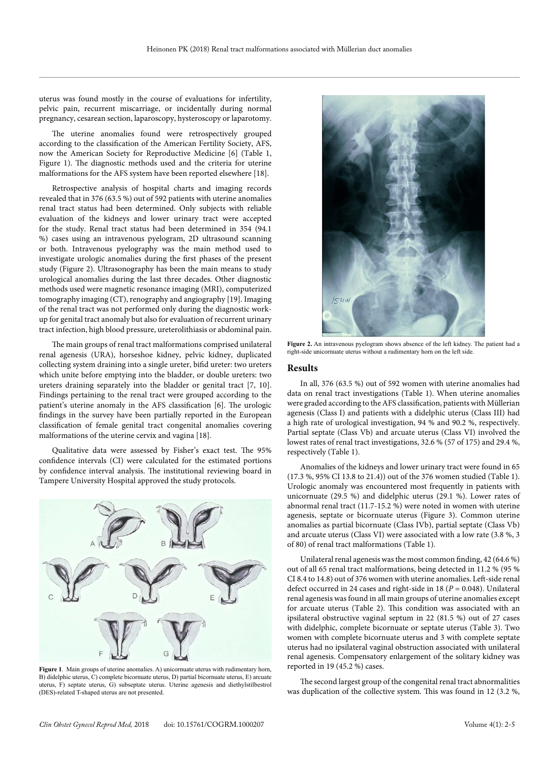uterus was found mostly in the course of evaluations for infertility, pelvic pain, recurrent miscarriage, or incidentally during normal pregnancy, cesarean section, laparoscopy, hysteroscopy or laparotomy.

The uterine anomalies found were retrospectively grouped according to the classification of the American Fertility Society, AFS, now the American Society for Reproductive Medicine [6] (Table 1, Figure 1). The diagnostic methods used and the criteria for uterine malformations for the AFS system have been reported elsewhere [18].

Retrospective analysis of hospital charts and imaging records revealed that in 376 (63.5 %) out of 592 patients with uterine anomalies renal tract status had been determined. Only subjects with reliable evaluation of the kidneys and lower urinary tract were accepted for the study. Renal tract status had been determined in 354 (94.1 %) cases using an intravenous pyelogram, 2D ultrasound scanning or both. Intravenous pyelography was the main method used to investigate urologic anomalies during the first phases of the present study (Figure 2). Ultrasonography has been the main means to study urological anomalies during the last three decades. Other diagnostic methods used were magnetic resonance imaging (MRI), computerized tomography imaging (CT), renography and angiography [19]. Imaging of the renal tract was not performed only during the diagnostic workup for genital tract anomaly but also for evaluation of recurrent urinary tract infection, high blood pressure, ureterolithiasis or abdominal pain.

The main groups of renal tract malformations comprised unilateral renal agenesis (URA), horseshoe kidney, pelvic kidney, duplicated collecting system draining into a single ureter, bifid ureter: two ureters which unite before emptying into the bladder, or double ureters: two ureters draining separately into the bladder or genital tract [7, 10]. Findings pertaining to the renal tract were grouped according to the patient's uterine anomaly in the AFS classification [6]. The urologic findings in the survey have been partially reported in the European classification of female genital tract congenital anomalies covering malformations of the uterine cervix and vagina [18].

Qualitative data were assessed by Fisher's exact test. The 95% confidence intervals (CI) were calculated for the estimated portions by confidence interval analysis. The institutional reviewing board in Tampere University Hospital approved the study protocols.



**Figure 1**. Main groups of uterine anomalies. A) unicornuate uterus with rudimentary horn, B) didelphic uterus, C) complete bicornuate uterus, D) partial bicornuate uterus, E) arcuate uterus, F) septate uterus, G) subseptate uterus. Uterine agenesis and diethylstilbestrol (DES)-related T-shaped uterus are not presented.



**Figure 2.** An intravenous pyelogram shows absence of the left kidney. The patient had a right-side unicornuate uterus without a rudimentary horn on the left side.

#### **Results**

In all, 376 (63.5 %) out of 592 women with uterine anomalies had data on renal tract investigations (Table 1). When uterine anomalies were graded according to the AFS classification, patients with Müllerian agenesis (Class I) and patients with a didelphic uterus (Class III) had a high rate of urological investigation, 94 % and 90.2 %, respectively. Partial septate (Class Vb) and arcuate uterus (Class VI) involved the lowest rates of renal tract investigations, 32.6 % (57 of 175) and 29.4 %, respectively (Table 1).

Anomalies of the kidneys and lower urinary tract were found in 65 (17.3 %, 95% CI 13.8 to 21.4)) out of the 376 women studied (Table 1). Urologic anomaly was encountered most frequently in patients with unicornuate (29.5 %) and didelphic uterus (29.1 %). Lower rates of abnormal renal tract (11.7-15.2 %) were noted in women with uterine agenesis, septate or bicornuate uterus (Figure 3). Common uterine anomalies as partial bicornuate (Class IVb), partial septate (Class Vb) and arcuate uterus (Class VI) were associated with a low rate (3.8 %, 3 of 80) of renal tract malformations (Table 1).

Unilateral renal agenesis was the most common finding, 42 (64.6 %) out of all 65 renal tract malformations, being detected in 11.2 % (95 % CI 8.4 to 14.8) out of 376 women with uterine anomalies. Left-side renal defect occurred in 24 cases and right-side in 18 (*P* = 0.048). Unilateral renal agenesis was found in all main groups of uterine anomalies except for arcuate uterus (Table 2). This condition was associated with an ipsilateral obstructive vaginal septum in 22 (81.5 %) out of 27 cases with didelphic, complete bicornuate or septate uterus (Table 3). Two women with complete bicornuate uterus and 3 with complete septate uterus had no ipsilateral vaginal obstruction associated with unilateral renal agenesis. Compensatory enlargement of the solitary kidney was reported in 19 (45.2 %) cases.

The second largest group of the congenital renal tract abnormalities was duplication of the collective system. This was found in 12 (3.2 %,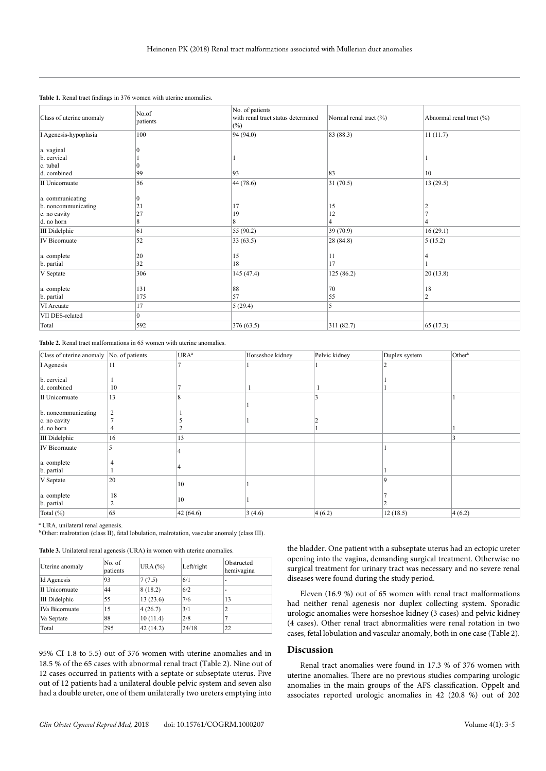| Class of uterine anomaly | No.of<br>patients | No. of patients<br>with renal tract status determined<br>$(\%)$ | Normal renal tract (%) | Abnormal renal tract (%) |
|--------------------------|-------------------|-----------------------------------------------------------------|------------------------|--------------------------|
| I Agenesis-hypoplasia    | 100               | 94 (94.0)                                                       | 83 (88.3)              | 11(11.7)                 |
| a. vaginal               |                   |                                                                 |                        |                          |
| b. cervical              |                   |                                                                 |                        |                          |
| c. tubal                 |                   |                                                                 |                        |                          |
| d. combined              | 99                | 93                                                              | 83                     | 10                       |
| II Unicornuate           | 56                | 44 (78.6)                                                       | 31(70.5)               | 13(29.5)                 |
| a. communicating         | $\theta$          |                                                                 |                        |                          |
| b. noncommunicating      | 21                | 17                                                              | 15                     |                          |
| c. no cavity             | 27                | 19                                                              | 12                     |                          |
| d. no horn               | 8                 | 8                                                               |                        |                          |
| <b>III</b> Didelphic     | 61                | 55 (90.2)                                                       | 39(70.9)               | 16(29.1)                 |
| <b>IV</b> Bicornuate     | 52                | 33(63.5)                                                        | 28(84.8)               | 5(15.2)                  |
| a. complete              | 20                | 15                                                              | 11                     |                          |
| b. partial               | 32                | 18                                                              | 17                     |                          |
| V Septate                | 306               | 145 (47.4)                                                      | 125(86.2)              | 20(13.8)                 |
| a. complete              | 131               | 88                                                              | 70                     | 18                       |
| b. partial               | 175               | 57                                                              | 55                     | ◠                        |
| VI Arcuate               | 17                | 5(29.4)                                                         | 5                      |                          |
| VII DES-related          | $\mathbf{0}$      |                                                                 |                        |                          |
| Total                    | 592               | 376 (63.5)                                                      | 311(82.7)              | 65(17.3)                 |

**Table 1.** Renal tract findings in 376 women with uterine anomalies.

**Table 2.** Renal tract malformations in 65 women with uterine anomalies.

| Class of uterine anomaly No. of patients |                | URA <sup>a</sup> | Horseshoe kidney | Pelvic kidney | Duplex system | Other <sup>b</sup> |
|------------------------------------------|----------------|------------------|------------------|---------------|---------------|--------------------|
| I Agenesis                               | 11             |                  |                  |               |               |                    |
| b. cervical<br>d. combined               | 10             |                  |                  |               |               |                    |
|                                          |                |                  |                  |               |               |                    |
| II Unicornuate                           | 13             |                  |                  |               |               |                    |
| b. noncommunicating                      | $\overline{2}$ |                  |                  |               |               |                    |
| c. no cavity<br>d. no horn               |                |                  |                  |               |               |                    |
| <b>III</b> Didelphic                     | 16             | 13               |                  |               |               |                    |
| <b>IV</b> Bicornuate                     |                |                  |                  |               |               |                    |
| a. complete<br>b. partial                |                |                  |                  |               |               |                    |
| V Septate                                | 20             | 10               |                  |               | $\Omega$      |                    |
| a. complete<br>b. partial                | 18             | 10               |                  |               |               |                    |
| Total (%)                                | 65             | 42(64.6)         | 3(4.6)           | 4(6.2)        | 12(18.5)      | 4(6.2)             |

ª URA, unilateral renal agenesis.

**b** Other: malrotation (class II), fetal lobulation, malrotation, vascular anomaly (class III).

|  |  |  |  | Table 3. Unilateral renal agenesis (URA) in women with uterine anomalies. |
|--|--|--|--|---------------------------------------------------------------------------|
|--|--|--|--|---------------------------------------------------------------------------|

| Uterine anomaly       | No. of<br>patients | URA $(%)$ | Left/right | Obstructed<br>hemivagina |
|-----------------------|--------------------|-----------|------------|--------------------------|
| Id Agenesis           | 93                 | 7(7.5)    | 6/1        | -                        |
| <b>II</b> Unicornuate | 44                 | 8(18.2)   | 6/2        | -                        |
| <b>III</b> Didelphic  | 55                 | 13(23.6)  | 7/6        | 13                       |
| <b>IVa Bicornuate</b> | 15                 | 4(26.7)   | 3/1        | 2                        |
| Va Septate            | 88                 | 10(11.4)  | 2/8        | 7                        |
| Total                 | 295                | 42(14.2)  | 24/18      | 22                       |

95% CI 1.8 to 5.5) out of 376 women with uterine anomalies and in 18.5 % of the 65 cases with abnormal renal tract (Table 2). Nine out of 12 cases occurred in patients with a septate or subseptate uterus. Five out of 12 patients had a unilateral double pelvic system and seven also had a double ureter, one of them unilaterally two ureters emptying into the bladder. One patient with a subseptate uterus had an ectopic ureter opening into the vagina, demanding surgical treatment. Otherwise no surgical treatment for urinary tract was necessary and no severe renal diseases were found during the study period.

Eleven (16.9 %) out of 65 women with renal tract malformations had neither renal agenesis nor duplex collecting system. Sporadic urologic anomalies were horseshoe kidney (3 cases) and pelvic kidney (4 cases). Other renal tract abnormalities were renal rotation in two cases, fetal lobulation and vascular anomaly, both in one case (Table 2).

#### **Discussion**

Renal tract anomalies were found in 17.3 % of 376 women with uterine anomalies. There are no previous studies comparing urologic anomalies in the main groups of the AFS classification. Oppelt and associates reported urologic anomalies in 42 (20.8 %) out of 202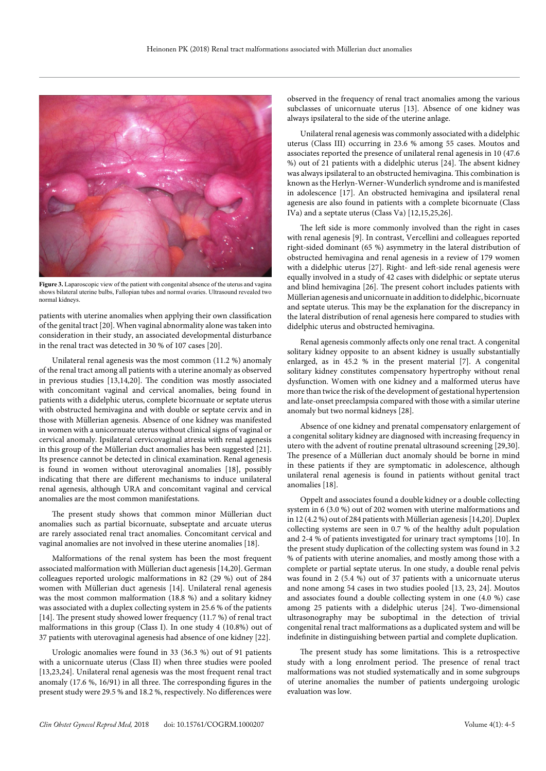

**Figure 3.** Laparoscopic view of the patient with congenital absence of the uterus and vagina shows bilateral uterine bulbs, Fallopian tubes and normal ovaries. Ultrasound revealed two normal kidneys.

patients with uterine anomalies when applying their own classification of the genital tract [20]. When vaginal abnormality alone was taken into consideration in their study, an associated developmental disturbance in the renal tract was detected in 30 % of 107 cases [20].

Unilateral renal agenesis was the most common (11.2 %) anomaly of the renal tract among all patients with a uterine anomaly as observed in previous studies [13,14,20]. The condition was mostly associated with concomitant vaginal and cervical anomalies, being found in patients with a didelphic uterus, complete bicornuate or septate uterus with obstructed hemivagina and with double or septate cervix and in those with Müllerian agenesis. Absence of one kidney was manifested in women with a unicornuate uterus without clinical signs of vaginal or cervical anomaly. Ipsilateral cervicovaginal atresia with renal agenesis in this group of the Müllerian duct anomalies has been suggested [21]. Its presence cannot be detected in clinical examination. Renal agenesis is found in women without uterovaginal anomalies [18], possibly indicating that there are different mechanisms to induce unilateral renal agenesis, although URA and concomitant vaginal and cervical anomalies are the most common manifestations.

The present study shows that common minor Müllerian duct anomalies such as partial bicornuate, subseptate and arcuate uterus are rarely associated renal tract anomalies. Concomitant cervical and vaginal anomalies are not involved in these uterine anomalies [18].

Malformations of the renal system has been the most frequent associated malformation with Müllerian duct agenesis [14,20]. German colleagues reported urologic malformations in 82 (29 %) out of 284 women with Müllerian duct agenesis [14]. Unilateral renal agenesis was the most common malformation (18.8 %) and a solitary kidney was associated with a duplex collecting system in 25.6 % of the patients [14]. The present study showed lower frequency (11.7 %) of renal tract malformations in this group (Class I). In one study 4 (10.8%) out of 37 patients with uterovaginal agenesis had absence of one kidney [22].

Urologic anomalies were found in 33 (36.3 %) out of 91 patients with a unicornuate uterus (Class II) when three studies were pooled [13,23,24]. Unilateral renal agenesis was the most frequent renal tract anomaly (17.6 %, 16/91) in all three. The corresponding figures in the present study were 29.5 % and 18.2 %, respectively. No differences were observed in the frequency of renal tract anomalies among the various subclasses of unicornuate uterus [13]. Absence of one kidney was always ipsilateral to the side of the uterine anlage.

Unilateral renal agenesis was commonly associated with a didelphic uterus (Class III) occurring in 23.6 % among 55 cases. Moutos and associates reported the presence of unilateral renal agenesis in 10 (47.6 %) out of 21 patients with a didelphic uterus [24]. The absent kidney was always ipsilateral to an obstructed hemivagina. This combination is known as the Herlyn-Werner-Wunderlich syndrome and is manifested in adolescence [17]. An obstructed hemivagina and ipsilateral renal agenesis are also found in patients with a complete bicornuate (Class IVa) and a septate uterus (Class Va) [12,15,25,26].

The left side is more commonly involved than the right in cases with renal agenesis [9]. In contrast, Vercellini and colleagues reported right-sided dominant (65 %) asymmetry in the lateral distribution of obstructed hemivagina and renal agenesis in a review of 179 women with a didelphic uterus [27]. Right- and left-side renal agenesis were equally involved in a study of 42 cases with didelphic or septate uterus and blind hemivagina [26]. The present cohort includes patients with Müllerian agenesis and unicornuate in addition to didelphic, bicornuate and septate uterus. This may be the explanation for the discrepancy in the lateral distribution of renal agenesis here compared to studies with didelphic uterus and obstructed hemivagina.

Renal agenesis commonly affects only one renal tract. A congenital solitary kidney opposite to an absent kidney is usually substantially enlarged, as in 45.2 % in the present material [7]. A congenital solitary kidney constitutes compensatory hypertrophy without renal dysfunction. Women with one kidney and a malformed uterus have more than twice the risk of the development of gestational hypertension and late-onset preeclampsia compared with those with a similar uterine anomaly but two normal kidneys [28].

Absence of one kidney and prenatal compensatory enlargement of a congenital solitary kidney are diagnosed with increasing frequency in utero with the advent of routine prenatal ultrasound screening [29,30]. The presence of a Müllerian duct anomaly should be borne in mind in these patients if they are symptomatic in adolescence, although unilateral renal agenesis is found in patients without genital tract anomalies [18].

Oppelt and associates found a double kidney or a double collecting system in 6 (3.0 %) out of 202 women with uterine malformations and in 12 (4.2 %) out of 284 patients with Müllerian agenesis [14,20]. Duplex collecting systems are seen in 0.7 % of the healthy adult population and 2-4 % of patients investigated for urinary tract symptoms [10]. In the present study duplication of the collecting system was found in 3.2 % of patients with uterine anomalies, and mostly among those with a complete or partial septate uterus. In one study, a double renal pelvis was found in 2 (5.4 %) out of 37 patients with a unicornuate uterus and none among 54 cases in two studies pooled [13, 23, 24]. Moutos and associates found a double collecting system in one (4.0 %) case among 25 patients with a didelphic uterus [24]. Two-dimensional ultrasonography may be suboptimal in the detection of trivial congenital renal tract malformations as a duplicated system and will be indefinite in distinguishing between partial and complete duplication.

The present study has some limitations. This is a retrospective study with a long enrolment period. The presence of renal tract malformations was not studied systematically and in some subgroups of uterine anomalies the number of patients undergoing urologic evaluation was low.